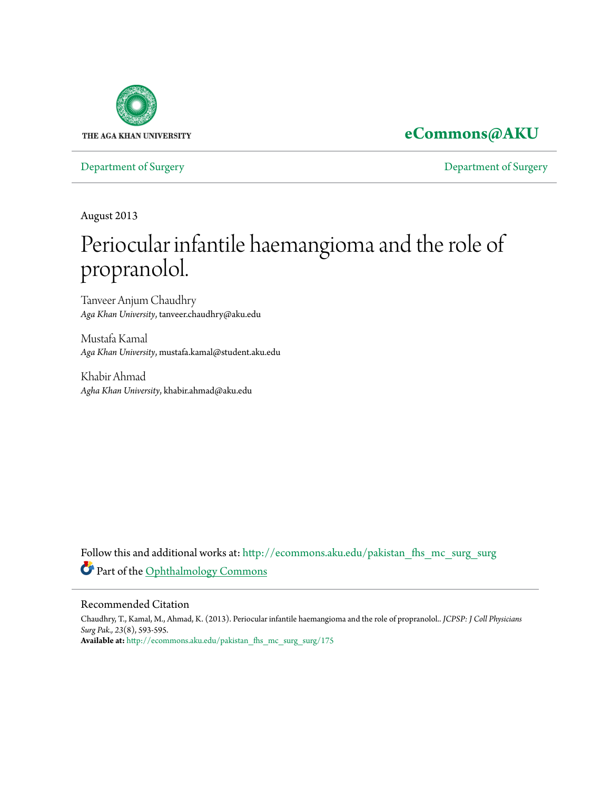

# **[eCommons@AKU](http://ecommons.aku.edu?utm_source=ecommons.aku.edu%2Fpakistan_fhs_mc_surg_surg%2F175&utm_medium=PDF&utm_campaign=PDFCoverPages)**

[Department of Surgery](http://ecommons.aku.edu/pakistan_fhs_mc_surg_surg?utm_source=ecommons.aku.edu%2Fpakistan_fhs_mc_surg_surg%2F175&utm_medium=PDF&utm_campaign=PDFCoverPages) [Department of Surgery](http://ecommons.aku.edu/pakistan_fhs_mc_surg?utm_source=ecommons.aku.edu%2Fpakistan_fhs_mc_surg_surg%2F175&utm_medium=PDF&utm_campaign=PDFCoverPages)

August 2013

# Periocular infantile haemangioma and the role of propranolol.

Tanveer Anjum Chaudhry *Aga Khan University*, tanveer.chaudhry@aku.edu

Mustafa Kamal *Aga Khan University*, mustafa.kamal@student.aku.edu

Khabir Ahmad *Agha Khan University*, khabir.ahmad@aku.edu

Follow this and additional works at: [http://ecommons.aku.edu/pakistan\\_fhs\\_mc\\_surg\\_surg](http://ecommons.aku.edu/pakistan_fhs_mc_surg_surg?utm_source=ecommons.aku.edu%2Fpakistan_fhs_mc_surg_surg%2F175&utm_medium=PDF&utm_campaign=PDFCoverPages) Part of the [Ophthalmology Commons](http://network.bepress.com/hgg/discipline/695?utm_source=ecommons.aku.edu%2Fpakistan_fhs_mc_surg_surg%2F175&utm_medium=PDF&utm_campaign=PDFCoverPages)

## Recommended Citation

Chaudhry, T., Kamal, M., Ahmad, K. (2013). Periocular infantile haemangioma and the role of propranolol.. *JCPSP: J Coll Physicians Surg Pak., 23*(8), 593-595. **Available at:** [http://ecommons.aku.edu/pakistan\\_fhs\\_mc\\_surg\\_surg/175](http://ecommons.aku.edu/pakistan_fhs_mc_surg_surg/175)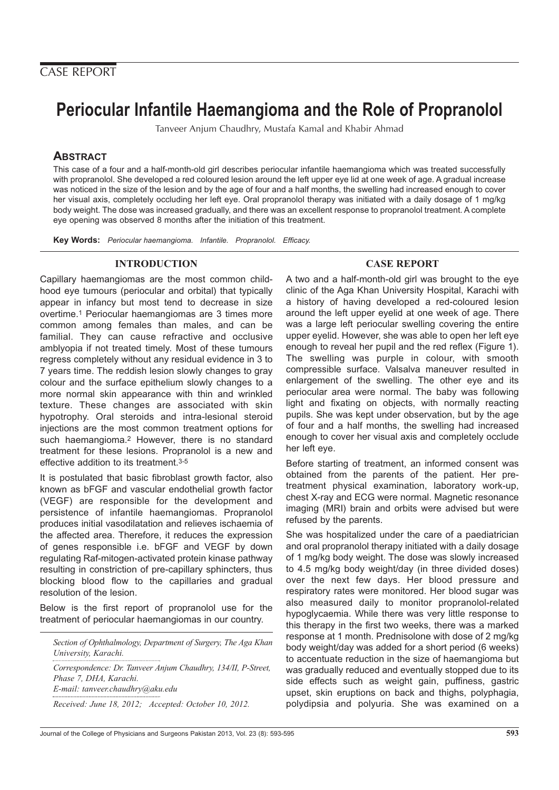# **Periocular Infantile Haemangioma and the Role of Propranolol**

Tanveer Anjum Chaudhry, Mustafa Kamal and Khabir Ahmad

# **ABSTRACT**

This case of a four and a half-month-old girl describes periocular infantile haemangioma which was treated successfully with propranolol. She developed a red coloured lesion around the left upper eye lid at one week of age. A gradual increase was noticed in the size of the lesion and by the age of four and a half months, the swelling had increased enough to cover her visual axis, completely occluding her left eye. Oral propranolol therapy was initiated with a daily dosage of 1 mg/kg body weight. The dose was increased gradually, and there was an excellent response to propranolol treatment. A complete eye opening was observed 8 months after the initiation of this treatment.

**Key Words:** Periocular haemangioma. Infantile. Propranolol. Efficacy.

# **INTRODUCTION**

Capillary haemangiomas are the most common childhood eye tumours (periocular and orbital) that typically appear in infancy but most tend to decrease in size overtime.1 Periocular haemangiomas are 3 times more common among females than males, and can be familial. They can cause refractive and occlusive amblyopia if not treated timely. Most of these tumours regress completely without any residual evidence in 3 to 7 years time. The reddish lesion slowly changes to gray colour and the surface epithelium slowly changes to a more normal skin appearance with thin and wrinkled texture. These changes are associated with skin hypotrophy. Oral steroids and intra-lesional steroid injections are the most common treatment options for such haemangioma.2 However, there is no standard treatment for these lesions. Propranolol is a new and effective addition to its treatment.3-5

It is postulated that basic fibroblast growth factor, also known as bFGF and vascular endothelial growth factor (VEGF) are responsible for the development and persistence of infantile haemangiomas. Propranolol produces initial vasodilatation and relieves ischaemia of the affected area. Therefore, it reduces the expression of genes responsible i.e. bFGF and VEGF by down regulating Raf-mitogen-activated protein kinase pathway resulting in constriction of pre-capillary sphincters, thus blocking blood flow to the capillaries and gradual resolution of the lesion.

Below is the first report of propranolol use for the treatment of periocular haemangiomas in our country.

*Section of Ophthalmology, Department of Surgery, The Aga Khan University, Karachi.*

*Correspondence: Dr. Tanveer Anjum Chaudhry, 134/II, P-Street, Phase 7, DHA, Karachi. E-mail: tanveer.chaudhry@aku.edu*

*Received: June 18, 2012; Accepted: October 10, 2012.*

# **CASE REPORT**

A two and a half-month-old girl was brought to the eye clinic of the Aga Khan University Hospital, Karachi with a history of having developed a red-coloured lesion around the left upper eyelid at one week of age. There was a large left periocular swelling covering the entire upper eyelid. However, she was able to open her left eye enough to reveal her pupil and the red reflex (Figure 1). The swelling was purple in colour, with smooth compressible surface. Valsalva maneuver resulted in enlargement of the swelling. The other eye and its periocular area were normal. The baby was following light and fixating on objects, with normally reacting pupils. She was kept under observation, but by the age of four and a half months, the swelling had increased enough to cover her visual axis and completely occlude her left eye.

Before starting of treatment, an informed consent was obtained from the parents of the patient. Her pretreatment physical examination, laboratory work-up, chest X-ray and ECG were normal. Magnetic resonance imaging (MRI) brain and orbits were advised but were refused by the parents.

She was hospitalized under the care of a paediatrician and oral propranolol therapy initiated with a daily dosage of 1 mg/kg body weight. The dose was slowly increased to 4.5 mg/kg body weight/day (in three divided doses) over the next few days. Her blood pressure and respiratory rates were monitored. Her blood sugar was also measured daily to monitor propranolol-related hypoglycaemia. While there was very little response to this therapy in the first two weeks, there was a marked response at 1 month. Prednisolone with dose of 2 mg/kg body weight/day was added for a short period (6 weeks) to accentuate reduction in the size of haemangioma but was gradually reduced and eventually stopped due to its side effects such as weight gain, puffiness, gastric upset, skin eruptions on back and thighs, polyphagia, polydipsia and polyuria. She was examined on a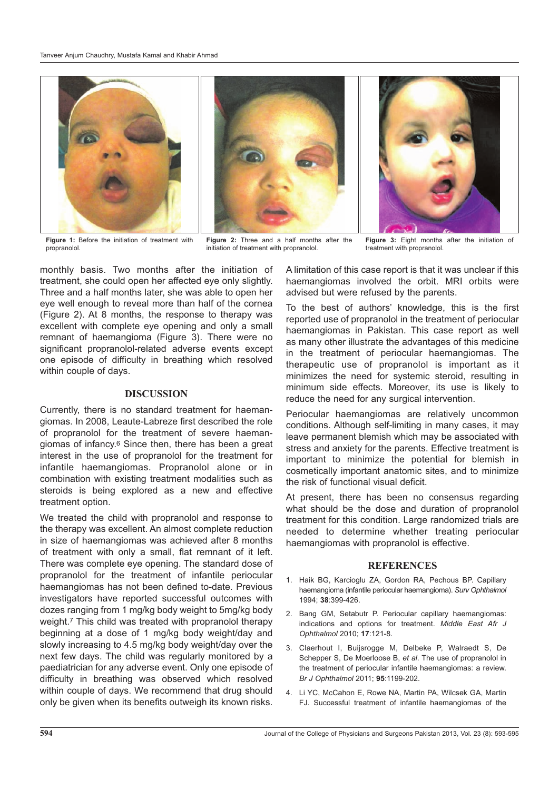

propranolol.



**Figure 2:** Three and a half months after the initiation of treatment with propranolol.

monthly basis. Two months after the initiation of treatment, she could open her affected eye only slightly. Three and a half months later, she was able to open her eye well enough to reveal more than half of the cornea (Figure 2). At 8 months, the response to therapy was excellent with complete eye opening and only a small remnant of haemangioma (Figure 3). There were no significant propranolol-related adverse events except one episode of difficulty in breathing which resolved within couple of days.

### **DISCUSSION**

Currently, there is no standard treatment for haemangiomas. In 2008, Leaute-Labreze first described the role of propranolol for the treatment of severe haemangiomas of infancy.6 Since then, there has been a great interest in the use of propranolol for the treatment for infantile haemangiomas. Propranolol alone or in combination with existing treatment modalities such as steroids is being explored as a new and effective treatment option.

We treated the child with propranolol and response to the therapy was excellent. An almost complete reduction in size of haemangiomas was achieved after 8 months of treatment with only a small, flat remnant of it left. There was complete eye opening. The standard dose of propranolol for the treatment of infantile periocular haemangiomas has not been defined to-date. Previous investigators have reported successful outcomes with dozes ranging from 1 mg/kg body weight to 5mg/kg body weight.7 This child was treated with propranolol therapy beginning at a dose of 1 mg/kg body weight/day and slowly increasing to 4.5 mg/kg body weight/day over the next few days. The child was regularly monitored by a paediatrician for any adverse event. Only one episode of difficulty in breathing was observed which resolved within couple of days. We recommend that drug should only be given when its benefits outweigh its known risks.



**Figure 3:** Eight months after the initiation of treatment with propranolol.

A limitation of this case report is that it was unclear if this haemangiomas involved the orbit. MRI orbits were advised but were refused by the parents.

To the best of authors' knowledge, this is the first reported use of propranolol in the treatment of periocular haemangiomas in Pakistan. This case report as well as many other illustrate the advantages of this medicine in the treatment of periocular haemangiomas. The therapeutic use of propranolol is important as it minimizes the need for systemic steroid, resulting in minimum side effects. Moreover, its use is likely to reduce the need for any surgical intervention.

Periocular haemangiomas are relatively uncommon conditions. Although self-limiting in many cases, it may leave permanent blemish which may be associated with stress and anxiety for the parents. Effective treatment is important to minimize the potential for blemish in cosmetically important anatomic sites, and to minimize the risk of functional visual deficit.

At present, there has been no consensus regarding what should be the dose and duration of propranolol treatment for this condition. Large randomized trials are needed to determine whether treating periocular haemangiomas with propranolol is effective.

#### **REFERENCES**

- 1. Haik BG, Karcioglu ZA, Gordon RA, Pechous BP. Capillary haemangioma (infantile periocular haemangioma). Surv Ophthalmol 1994; **38**:399-426.
- 2. Bang GM, Setabutr P. Periocular capillary haemangiomas: indications and options for treatment. Middle East Afr J Ophthalmol 2010; **17**:121-8.
- 3. Claerhout I, Buijsrogge M, Delbeke P, Walraedt S, De Schepper S, De Moerloose B, et al. The use of propranolol in the treatment of periocular infantile haemangiomas: a review. Br J Ophthalmol 2011; **95**:1199-202.
- 4. Li YC, McCahon E, Rowe NA, Martin PA, Wilcsek GA, Martin FJ. Successful treatment of infantile haemangiomas of the